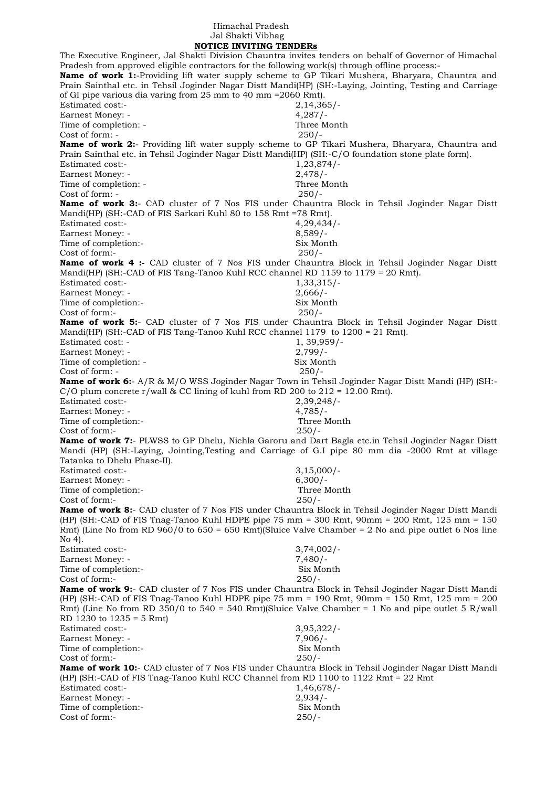## Himachal Pradesh Jal Shakti Vibhag  **NOTICE INVITING TENDERs**

The Executive Engineer, Jal Shakti Division Chauntra invites tenders on behalf of Governor of Himachal Pradesh from approved eligible contractors for the following work(s) through offline process:- **Name of work 1:**-Providing lift water supply scheme to GP Tikari Mushera, Bharyara, Chauntra and Prain Sainthal etc. in Tehsil Joginder Nagar Distt Mandi(HP) (SH:-Laying, Jointing, Testing and Carriage of GI pipe various dia varing from 25 mm to 40 mm =2060 Rmt). Estimated cost:- 2,14,365/- Earnest Money: - 4,287/-Time of completion: - Three Month Cost of form: - 250/- **Name of work 2:**- Providing lift water supply scheme to GP Tikari Mushera, Bharyara, Chauntra and Prain Sainthal etc. in Tehsil Joginder Nagar Distt Mandi(HP) (SH:-C/O foundation stone plate form). Estimated cost:- 1,23,874/-Earnest Money: - 2,478/-Time of completion: - Three Month Cost of form: - 250/- **Name of work 3:**- CAD cluster of 7 Nos FIS under Chauntra Block in Tehsil Joginder Nagar Distt Mandi(HP) (SH:-CAD of FIS Sarkari Kuhl 80 to 158 Rmt =78 Rmt). Estimated cost:- 4,29,434/-Earnest Money: - 8,589/-Time of completion:- Six Month Cost of form:- 250/- **Name of work 4 :-** CAD cluster of 7 Nos FIS under Chauntra Block in Tehsil Joginder Nagar Distt Mandi(HP) (SH:-CAD of FIS Tang-Tanoo Kuhl RCC channel RD 1159 to 1179 = 20 Rmt). Estimated cost:- 1,33,315/- Earnest Money: - 2,666/-Time of completion:- Six Month Cost of form:- 250/- **Name of work 5:**- CAD cluster of 7 Nos FIS under Chauntra Block in Tehsil Joginder Nagar Distt Mandi(HP) (SH:-CAD of FIS Tang-Tanoo Kuhl RCC channel 1179 to 1200 = 21 Rmt). Estimated cost: - 1, 39,959/-Earnest Money: - 2,799/-Time of completion: - Six Month Cost of form: - 250/- **Name of work 6:**- A/R & M/O WSS Joginder Nagar Town in Tehsil Joginder Nagar Distt Mandi (HP) (SH:- C/O plum concrete r/wall & CC lining of kuhl from RD 200 to  $212 = 12.00$  Rmt). Estimated cost:- 2,39,248/- Earnest Money: - 4,785/-Time of completion:- Three Month Cost of form:- 250/- **Name of work 7:**- PLWSS to GP Dhelu, Nichla Garoru and Dart Bagla etc.in Tehsil Joginder Nagar Distt Mandi (HP) (SH:-Laying, Jointing,Testing and Carriage of G.I pipe 80 mm dia -2000 Rmt at village Tatanka to Dhelu Phase-II). Estimated cost:- 3,15,000/- Earnest Money: - 6,300/-Time of completion:- Three Month Cost of form:- 250/- **Name of work 8:**- CAD cluster of 7 Nos FIS under Chauntra Block in Tehsil Joginder Nagar Distt Mandi (HP) (SH:-CAD of FIS Tnag-Tanoo Kuhl HDPE pipe 75 mm = 300 Rmt, 90mm = 200 Rmt, 125 mm = 150 Rmt) (Line No from RD 960/0 to 650 = 650 Rmt) (Sluice Valve Chamber = 2 No and pipe outlet 6 Nos line  $No 4$ Estimated cost:- 3,74,002/- Earnest Money: - 7,480/- Time of completion:- Six Month Cost of form:- 250/- **Name of work 9:**- CAD cluster of 7 Nos FIS under Chauntra Block in Tehsil Joginder Nagar Distt Mandi (HP) (SH:-CAD of FIS Tnag-Tanoo Kuhl HDPE pipe 75 mm = 190 Rmt, 90mm = 150 Rmt, 125 mm = 200 Rmt) (Line No from RD 350/0 to 540 = 540 Rmt)(Sluice Valve Chamber = 1 No and pipe outlet 5 R/wall RD 1230 to 1235 = 5 Rmt) Estimated cost:- 3,95,322/- Earnest Money: - 7,906/-Time of completion:- Six Month Cost of form:- 250/- **Name of work 10:**- CAD cluster of 7 Nos FIS under Chauntra Block in Tehsil Joginder Nagar Distt Mandi (HP) (SH:-CAD of FIS Tnag-Tanoo Kuhl RCC Channel from RD 1100 to 1122 Rmt = 22 Rmt Estimated cost:- 1,46,678/-Earnest Money: - 2,934/-Time of completion:- Six Month Cost of form:- 250/-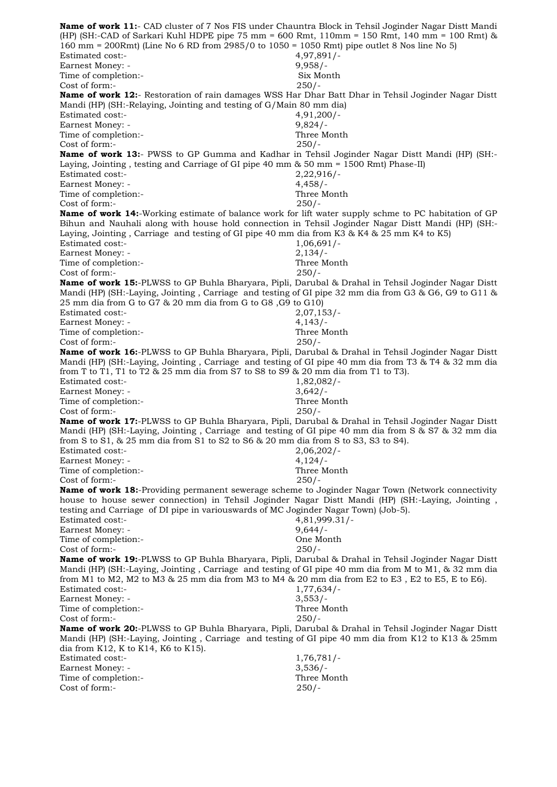**Name of work 11:**- CAD cluster of 7 Nos FIS under Chauntra Block in Tehsil Joginder Nagar Distt Mandi (HP) (SH:-CAD of Sarkari Kuhl HDPE pipe 75 mm = 600 Rmt, 110mm = 150 Rmt, 140 mm = 100 Rmt) &  $160 \text{ mm}$  = 200Rmt) (Line No 6 RD from 2985/0 to 1050 = 1050 Rmt) pipe outlet 8 Nos line No 5) Estimated cost:- 4,97,891/- Earnest Money: - 9,958/-Time of completion:- Six Month Cost of form:- 250/- **Name of work 12:**- Restoration of rain damages WSS Har Dhar Batt Dhar in Tehsil Joginder Nagar Distt Mandi (HP) (SH:-Relaying, Jointing and testing of G/Main 80 mm dia) Estimated cost:- 4,91,200/- Earnest Money: - 9,824/-Time of completion:- Three Month Cost of form:- 250/- **Name of work 13:**- PWSS to GP Gumma and Kadhar in Tehsil Joginder Nagar Distt Mandi (HP) (SH:- Laying, Jointing , testing and Carriage of GI pipe 40 mm & 50 mm = 1500 Rmt) Phase-II) Estimated cost:- 2,22,916/- Earnest Money: - 4,458/-Time of completion:- Three Month Cost of form:- 250/- **Name of work 14:**-Working estimate of balance work for lift water supply schme to PC habitation of GP Bihun and Nauhali along with house hold connection in Tehsil Joginder Nagar Distt Mandi (HP) (SH:- Laying, Jointing , Carriage and testing of GI pipe 40 mm dia from K3 & K4 & 25 mm K4 to K5) Estimated cost:- 1,06,691/- Earnest Money: - 2,134/-Time of completion:- Three Month Cost of form:- 250/- **Name of work 15:**-PLWSS to GP Buhla Bharyara, Pipli, Darubal & Drahal in Tehsil Joginder Nagar Distt Mandi (HP) (SH:-Laying, Jointing , Carriage and testing of GI pipe 32 mm dia from G3 & G6, G9 to G11 & 25 mm dia from G to G7 & 20 mm dia from G to G8 ,G9 to G10) Estimated cost:- 2,07,153/- Earnest Money: - 4,143/-Time of completion:- Three Month Cost of form:- 250/- **Name of work 16:**-PLWSS to GP Buhla Bharyara, Pipli, Darubal & Drahal in Tehsil Joginder Nagar Distt Mandi (HP) (SH:-Laying, Jointing , Carriage and testing of GI pipe 40 mm dia from T3 & T4 & 32 mm dia from T to T1, T1 to T2 & 25 mm dia from S7 to S8 to S9 & 20 mm dia from T1 to T3). Estimated cost:- 1,82,082/- Earnest Money: - 3,642/-Time of completion:- Three Month Cost of form:- 250/- **Name of work 17:**-PLWSS to GP Buhla Bharyara, Pipli, Darubal & Drahal in Tehsil Joginder Nagar Distt Mandi (HP) (SH:-Laying, Jointing , Carriage and testing of GI pipe 40 mm dia from S & S7 & 32 mm dia from S to S1, & 25 mm dia from S1 to S2 to S6 & 20 mm dia from S to S3, S3 to S4). Estimated cost:- 2,06,202/- Earnest Money: - 4,124/-Time of completion:- Three Month Cost of form:- 250/- **Name of work 18:**-Providing permanent sewerage scheme to Joginder Nagar Town (Network connectivity house to house sewer connection) in Tehsil Joginder Nagar Distt Mandi (HP) (SH:-Laying, Jointing , testing and Carriage of DI pipe in variouswards of MC Joginder Nagar Town) (Job-5). Estimated cost:- 4,81,999.31/- Earnest Money: - 9,644/-Time of completion:- One Month Cost of form:- 250/- **Name of work 19:**-PLWSS to GP Buhla Bharyara, Pipli, Darubal & Drahal in Tehsil Joginder Nagar Distt Mandi (HP) (SH:-Laying, Jointing , Carriage and testing of GI pipe 40 mm dia from M to M1, & 32 mm dia from M1 to M2, M2 to M3 & 25 mm dia from M3 to M4 & 20 mm dia from E2 to E3 , E2 to E5, E to E6). Estimated cost:- 1,77,634/- Earnest Money: - 3,553/-Time of completion:- Three Month Cost of form:- 250/- **Name of work 20:**-PLWSS to GP Buhla Bharyara, Pipli, Darubal & Drahal in Tehsil Joginder Nagar Distt Mandi (HP) (SH:-Laying, Jointing , Carriage and testing of GI pipe 40 mm dia from K12 to K13 & 25mm dia from K12, K to K14, K6 to K15). Estimated cost:- 1,76,781/-Earnest Money: - 3,536/-Time of completion:- Three Month Cost of form:- 250/-